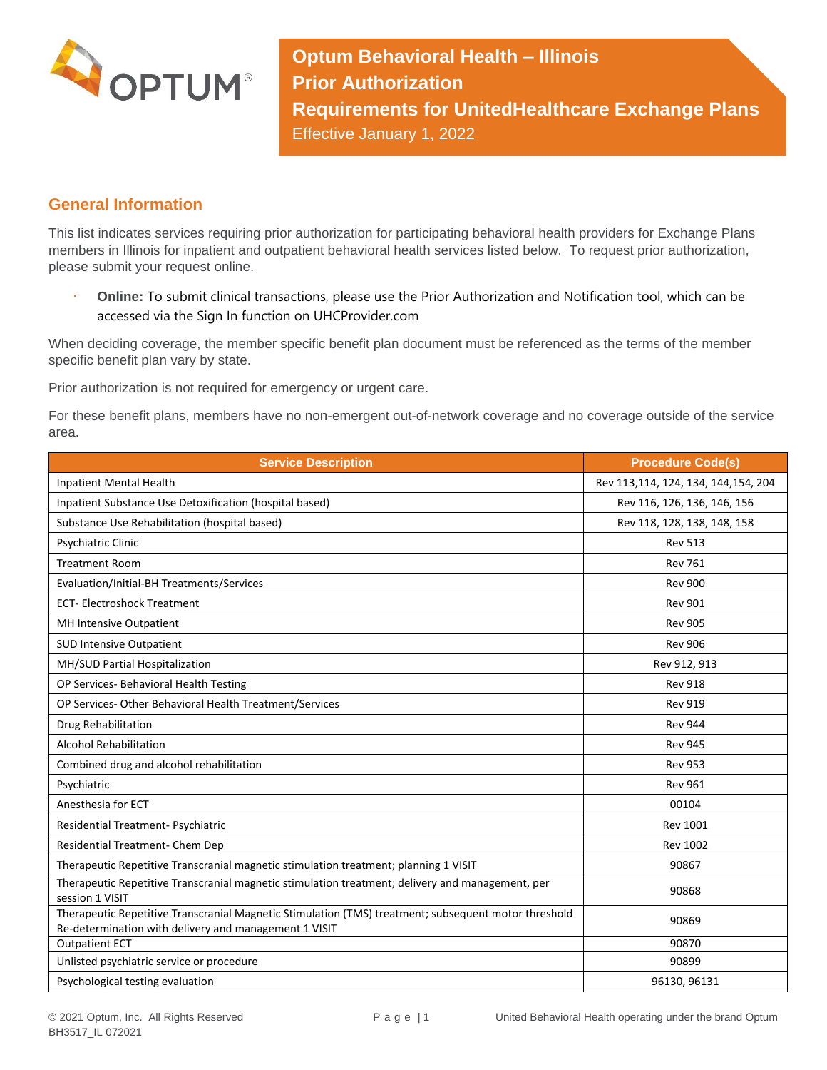

**Optum Behavioral Health – Illinois Prior Authorization Requirements for UnitedHealthcare Exchange Plans** Effective January 1, 2022

## **General Information**

This list indicates services requiring prior authorization for participating behavioral health providers for Exchange Plans members in Illinois for inpatient and outpatient behavioral health services listed below. To request prior authorization, please submit your request online.

 **Online:** To submit clinical transactions, please use the Prior Authorization and Notification tool, which can be accessed via the Sign In function on UHCProvider.com

When deciding coverage, the member specific benefit plan document must be referenced as the terms of the member specific benefit plan vary by state.

Prior authorization is not required for emergency or urgent care.

For these benefit plans, members have no non-emergent out-of-network coverage and no coverage outside of the service area.

| <b>Service Description</b>                                                                                                                                    | <b>Procedure Code(s)</b>            |
|---------------------------------------------------------------------------------------------------------------------------------------------------------------|-------------------------------------|
| <b>Inpatient Mental Health</b>                                                                                                                                | Rev 113,114, 124, 134, 144,154, 204 |
| Inpatient Substance Use Detoxification (hospital based)                                                                                                       | Rev 116, 126, 136, 146, 156         |
| Substance Use Rehabilitation (hospital based)                                                                                                                 | Rev 118, 128, 138, 148, 158         |
| Psychiatric Clinic                                                                                                                                            | <b>Rev 513</b>                      |
| <b>Treatment Room</b>                                                                                                                                         | <b>Rev 761</b>                      |
| Evaluation/Initial-BH Treatments/Services                                                                                                                     | <b>Rev 900</b>                      |
| <b>ECT-Electroshock Treatment</b>                                                                                                                             | <b>Rev 901</b>                      |
| MH Intensive Outpatient                                                                                                                                       | <b>Rev 905</b>                      |
| <b>SUD Intensive Outpatient</b>                                                                                                                               | <b>Rev 906</b>                      |
| MH/SUD Partial Hospitalization                                                                                                                                | Rev 912, 913                        |
| OP Services- Behavioral Health Testing                                                                                                                        | <b>Rev 918</b>                      |
| OP Services-Other Behavioral Health Treatment/Services                                                                                                        | <b>Rev 919</b>                      |
| Drug Rehabilitation                                                                                                                                           | <b>Rev 944</b>                      |
| <b>Alcohol Rehabilitation</b>                                                                                                                                 | <b>Rev 945</b>                      |
| Combined drug and alcohol rehabilitation                                                                                                                      | <b>Rev 953</b>                      |
| Psychiatric                                                                                                                                                   | <b>Rev 961</b>                      |
| Anesthesia for ECT                                                                                                                                            | 00104                               |
| Residential Treatment- Psychiatric                                                                                                                            | <b>Rev 1001</b>                     |
| Residential Treatment- Chem Dep                                                                                                                               | <b>Rev 1002</b>                     |
| Therapeutic Repetitive Transcranial magnetic stimulation treatment; planning 1 VISIT                                                                          | 90867                               |
| Therapeutic Repetitive Transcranial magnetic stimulation treatment; delivery and management, per<br>session 1 VISIT                                           | 90868                               |
| Therapeutic Repetitive Transcranial Magnetic Stimulation (TMS) treatment; subsequent motor threshold<br>Re-determination with delivery and management 1 VISIT | 90869                               |
| <b>Outpatient ECT</b>                                                                                                                                         | 90870                               |
| Unlisted psychiatric service or procedure                                                                                                                     | 90899                               |
| Psychological testing evaluation                                                                                                                              | 96130, 96131                        |